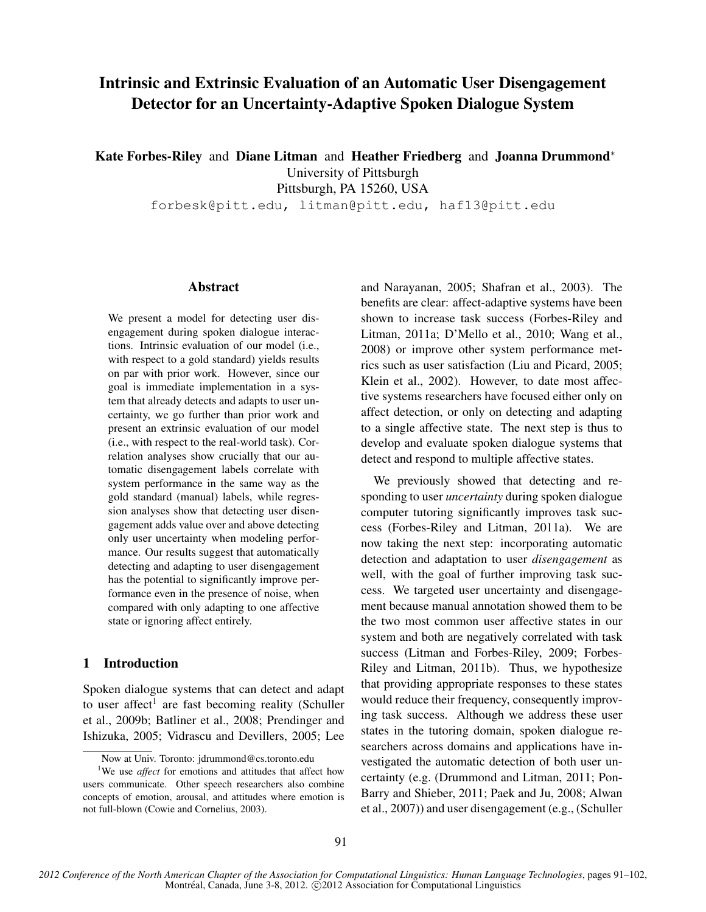# **Intrinsic and Extrinsic Evaluation of an Automatic User Disengagement Detector for an Uncertainty-Adaptive Spoken Dialogue System**

**Kate Forbes-Riley** and **Diane Litman** and **Heather Friedberg** and **Joanna Drummond**<sup>∗</sup>

University of Pittsburgh

Pittsburgh, PA 15260, USA

forbesk@pitt.edu, litman@pitt.edu, haf13@pitt.edu

#### **Abstract**

We present a model for detecting user disengagement during spoken dialogue interactions. Intrinsic evaluation of our model (i.e., with respect to a gold standard) yields results on par with prior work. However, since our goal is immediate implementation in a system that already detects and adapts to user uncertainty, we go further than prior work and present an extrinsic evaluation of our model (i.e., with respect to the real-world task). Correlation analyses show crucially that our automatic disengagement labels correlate with system performance in the same way as the gold standard (manual) labels, while regression analyses show that detecting user disengagement adds value over and above detecting only user uncertainty when modeling performance. Our results suggest that automatically detecting and adapting to user disengagement has the potential to significantly improve performance even in the presence of noise, when compared with only adapting to one affective state or ignoring affect entirely.

#### **1 Introduction**

Spoken dialogue systems that can detect and adapt to user affect<sup>1</sup> are fast becoming reality (Schuller et al., 2009b; Batliner et al., 2008; Prendinger and Ishizuka, 2005; Vidrascu and Devillers, 2005; Lee and Narayanan, 2005; Shafran et al., 2003). The benefits are clear: affect-adaptive systems have been shown to increase task success (Forbes-Riley and Litman, 2011a; D'Mello et al., 2010; Wang et al., 2008) or improve other system performance metrics such as user satisfaction (Liu and Picard, 2005; Klein et al., 2002). However, to date most affective systems researchers have focused either only on affect detection, or only on detecting and adapting to a single affective state. The next step is thus to develop and evaluate spoken dialogue systems that detect and respond to multiple affective states.

We previously showed that detecting and responding to user *uncertainty* during spoken dialogue computer tutoring significantly improves task success (Forbes-Riley and Litman, 2011a). We are now taking the next step: incorporating automatic detection and adaptation to user *disengagement* as well, with the goal of further improving task success. We targeted user uncertainty and disengagement because manual annotation showed them to be the two most common user affective states in our system and both are negatively correlated with task success (Litman and Forbes-Riley, 2009; Forbes-Riley and Litman, 2011b). Thus, we hypothesize that providing appropriate responses to these states would reduce their frequency, consequently improving task success. Although we address these user states in the tutoring domain, spoken dialogue researchers across domains and applications have investigated the automatic detection of both user uncertainty (e.g. (Drummond and Litman, 2011; Pon-Barry and Shieber, 2011; Paek and Ju, 2008; Alwan et al., 2007)) and user disengagement (e.g., (Schuller

<sup>∗</sup>Now at Univ. Toronto: jdrummond@cs.toronto.edu

<sup>&</sup>lt;sup>1</sup>We use *affect* for emotions and attitudes that affect how users communicate. Other speech researchers also combine concepts of emotion, arousal, and attitudes where emotion is not full-blown (Cowie and Cornelius, 2003).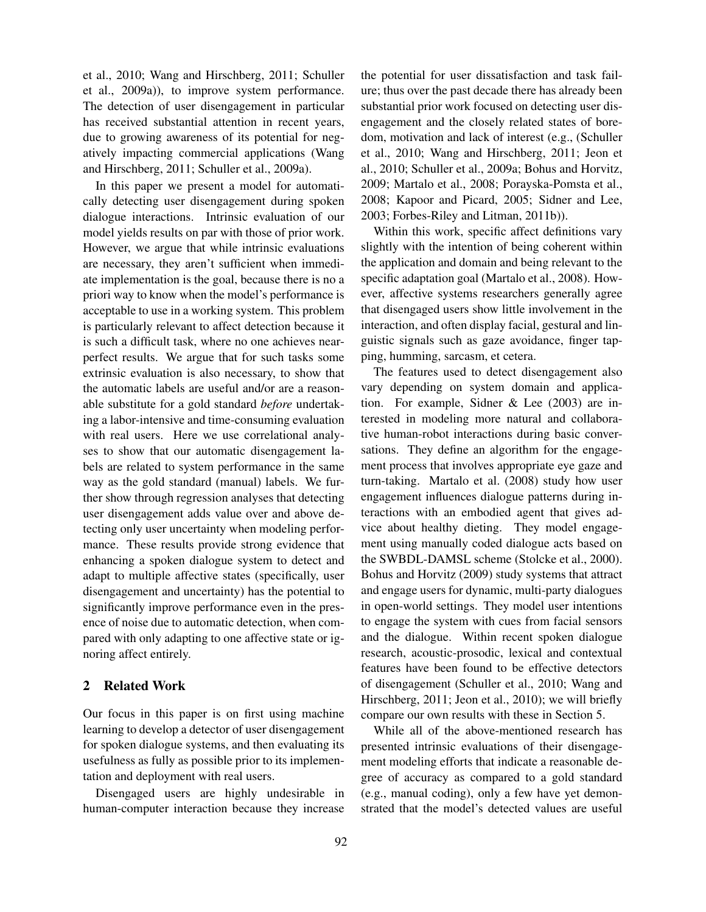et al., 2010; Wang and Hirschberg, 2011; Schuller et al., 2009a)), to improve system performance. The detection of user disengagement in particular has received substantial attention in recent years, due to growing awareness of its potential for negatively impacting commercial applications (Wang and Hirschberg, 2011; Schuller et al., 2009a).

In this paper we present a model for automatically detecting user disengagement during spoken dialogue interactions. Intrinsic evaluation of our model yields results on par with those of prior work. However, we argue that while intrinsic evaluations are necessary, they aren't sufficient when immediate implementation is the goal, because there is no a priori way to know when the model's performance is acceptable to use in a working system. This problem is particularly relevant to affect detection because it is such a difficult task, where no one achieves nearperfect results. We argue that for such tasks some extrinsic evaluation is also necessary, to show that the automatic labels are useful and/or are a reasonable substitute for a gold standard *before* undertaking a labor-intensive and time-consuming evaluation with real users. Here we use correlational analyses to show that our automatic disengagement labels are related to system performance in the same way as the gold standard (manual) labels. We further show through regression analyses that detecting user disengagement adds value over and above detecting only user uncertainty when modeling performance. These results provide strong evidence that enhancing a spoken dialogue system to detect and adapt to multiple affective states (specifically, user disengagement and uncertainty) has the potential to significantly improve performance even in the presence of noise due to automatic detection, when compared with only adapting to one affective state or ignoring affect entirely.

#### **2 Related Work**

Our focus in this paper is on first using machine learning to develop a detector of user disengagement for spoken dialogue systems, and then evaluating its usefulness as fully as possible prior to its implementation and deployment with real users.

Disengaged users are highly undesirable in human-computer interaction because they increase the potential for user dissatisfaction and task failure; thus over the past decade there has already been substantial prior work focused on detecting user disengagement and the closely related states of boredom, motivation and lack of interest (e.g., (Schuller et al., 2010; Wang and Hirschberg, 2011; Jeon et al., 2010; Schuller et al., 2009a; Bohus and Horvitz, 2009; Martalo et al., 2008; Porayska-Pomsta et al., 2008; Kapoor and Picard, 2005; Sidner and Lee, 2003; Forbes-Riley and Litman, 2011b)).

Within this work, specific affect definitions vary slightly with the intention of being coherent within the application and domain and being relevant to the specific adaptation goal (Martalo et al., 2008). However, affective systems researchers generally agree that disengaged users show little involvement in the interaction, and often display facial, gestural and linguistic signals such as gaze avoidance, finger tapping, humming, sarcasm, et cetera.

The features used to detect disengagement also vary depending on system domain and application. For example, Sidner & Lee (2003) are interested in modeling more natural and collaborative human-robot interactions during basic conversations. They define an algorithm for the engagement process that involves appropriate eye gaze and turn-taking. Martalo et al. (2008) study how user engagement influences dialogue patterns during interactions with an embodied agent that gives advice about healthy dieting. They model engagement using manually coded dialogue acts based on the SWBDL-DAMSL scheme (Stolcke et al., 2000). Bohus and Horvitz (2009) study systems that attract and engage users for dynamic, multi-party dialogues in open-world settings. They model user intentions to engage the system with cues from facial sensors and the dialogue. Within recent spoken dialogue research, acoustic-prosodic, lexical and contextual features have been found to be effective detectors of disengagement (Schuller et al., 2010; Wang and Hirschberg, 2011; Jeon et al., 2010); we will briefly compare our own results with these in Section 5.

While all of the above-mentioned research has presented intrinsic evaluations of their disengagement modeling efforts that indicate a reasonable degree of accuracy as compared to a gold standard (e.g., manual coding), only a few have yet demonstrated that the model's detected values are useful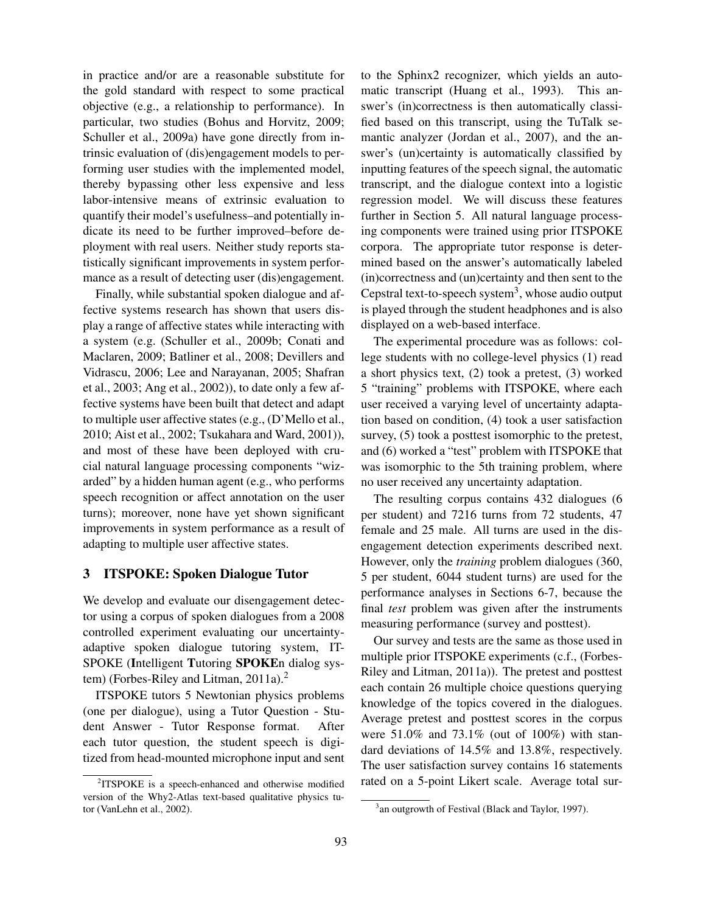in practice and/or are a reasonable substitute for the gold standard with respect to some practical objective (e.g., a relationship to performance). In particular, two studies (Bohus and Horvitz, 2009; Schuller et al., 2009a) have gone directly from intrinsic evaluation of (dis)engagement models to performing user studies with the implemented model, thereby bypassing other less expensive and less labor-intensive means of extrinsic evaluation to quantify their model's usefulness–and potentially indicate its need to be further improved–before deployment with real users. Neither study reports statistically significant improvements in system performance as a result of detecting user (dis)engagement.

Finally, while substantial spoken dialogue and affective systems research has shown that users display a range of affective states while interacting with a system (e.g. (Schuller et al., 2009b; Conati and Maclaren, 2009; Batliner et al., 2008; Devillers and Vidrascu, 2006; Lee and Narayanan, 2005; Shafran et al., 2003; Ang et al., 2002)), to date only a few affective systems have been built that detect and adapt to multiple user affective states (e.g., (D'Mello et al., 2010; Aist et al., 2002; Tsukahara and Ward, 2001)), and most of these have been deployed with crucial natural language processing components "wizarded" by a hidden human agent (e.g., who performs speech recognition or affect annotation on the user turns); moreover, none have yet shown significant improvements in system performance as a result of adapting to multiple user affective states.

#### **3 ITSPOKE: Spoken Dialogue Tutor**

We develop and evaluate our disengagement detector using a corpus of spoken dialogues from a 2008 controlled experiment evaluating our uncertaintyadaptive spoken dialogue tutoring system, IT-SPOKE (**I**ntelligent **T**utoring **SPOKE**n dialog system) (Forbes-Riley and Litman, 2011a).<sup>2</sup>

ITSPOKE tutors 5 Newtonian physics problems (one per dialogue), using a Tutor Question - Student Answer - Tutor Response format. After each tutor question, the student speech is digitized from head-mounted microphone input and sent to the Sphinx2 recognizer, which yields an automatic transcript (Huang et al., 1993). This answer's (in)correctness is then automatically classified based on this transcript, using the TuTalk semantic analyzer (Jordan et al., 2007), and the answer's (un)certainty is automatically classified by inputting features of the speech signal, the automatic transcript, and the dialogue context into a logistic regression model. We will discuss these features further in Section 5. All natural language processing components were trained using prior ITSPOKE corpora. The appropriate tutor response is determined based on the answer's automatically labeled (in)correctness and (un)certainty and then sent to the Cepstral text-to-speech system<sup>3</sup>, whose audio output is played through the student headphones and is also displayed on a web-based interface.

The experimental procedure was as follows: college students with no college-level physics (1) read a short physics text, (2) took a pretest, (3) worked 5 "training" problems with ITSPOKE, where each user received a varying level of uncertainty adaptation based on condition, (4) took a user satisfaction survey, (5) took a posttest isomorphic to the pretest, and (6) worked a "test" problem with ITSPOKE that was isomorphic to the 5th training problem, where no user received any uncertainty adaptation.

The resulting corpus contains 432 dialogues (6 per student) and 7216 turns from 72 students, 47 female and 25 male. All turns are used in the disengagement detection experiments described next. However, only the *training* problem dialogues (360, 5 per student, 6044 student turns) are used for the performance analyses in Sections 6-7, because the final *test* problem was given after the instruments measuring performance (survey and posttest).

Our survey and tests are the same as those used in multiple prior ITSPOKE experiments (c.f., (Forbes-Riley and Litman, 2011a)). The pretest and posttest each contain 26 multiple choice questions querying knowledge of the topics covered in the dialogues. Average pretest and posttest scores in the corpus were 51.0% and 73.1% (out of 100%) with standard deviations of 14.5% and 13.8%, respectively. The user satisfaction survey contains 16 statements rated on a 5-point Likert scale. Average total sur-

<sup>&</sup>lt;sup>2</sup>ITSPOKE is a speech-enhanced and otherwise modified version of the Why2-Atlas text-based qualitative physics tutor (VanLehn et al., 2002).

<sup>&</sup>lt;sup>3</sup> an outgrowth of Festival (Black and Taylor, 1997).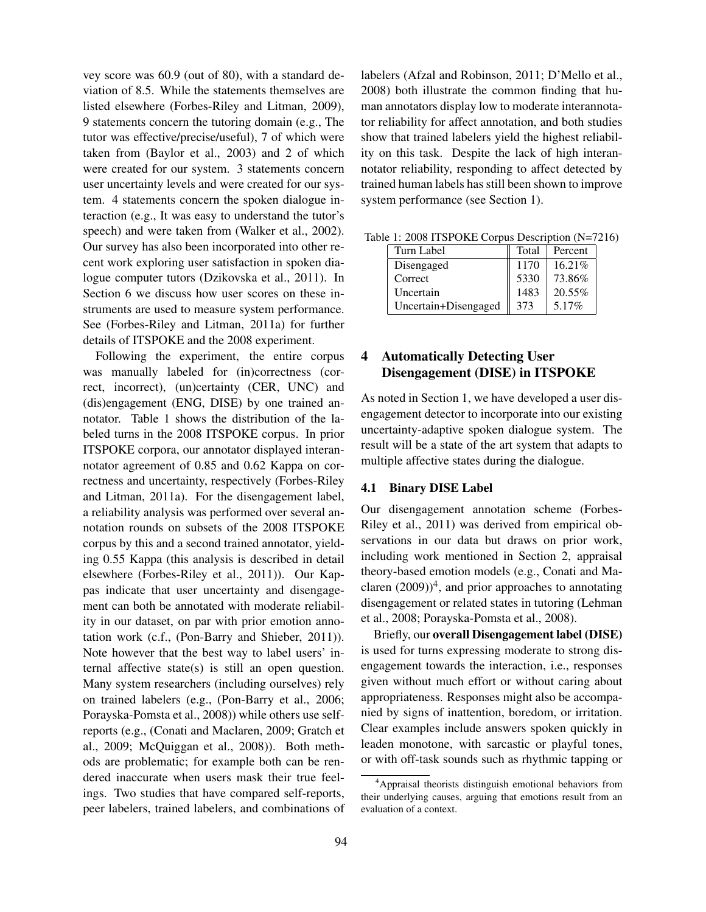vey score was 60.9 (out of 80), with a standard deviation of 8.5. While the statements themselves are listed elsewhere (Forbes-Riley and Litman, 2009), 9 statements concern the tutoring domain (e.g., The tutor was effective/precise/useful), 7 of which were taken from (Baylor et al., 2003) and 2 of which were created for our system. 3 statements concern user uncertainty levels and were created for our system. 4 statements concern the spoken dialogue interaction (e.g., It was easy to understand the tutor's speech) and were taken from (Walker et al., 2002). Our survey has also been incorporated into other recent work exploring user satisfaction in spoken dialogue computer tutors (Dzikovska et al., 2011). In Section 6 we discuss how user scores on these instruments are used to measure system performance. See (Forbes-Riley and Litman, 2011a) for further details of ITSPOKE and the 2008 experiment.

Following the experiment, the entire corpus was manually labeled for (in)correctness (correct, incorrect), (un)certainty (CER, UNC) and (dis)engagement (ENG, DISE) by one trained annotator. Table 1 shows the distribution of the labeled turns in the 2008 ITSPOKE corpus. In prior ITSPOKE corpora, our annotator displayed interannotator agreement of 0.85 and 0.62 Kappa on correctness and uncertainty, respectively (Forbes-Riley and Litman, 2011a). For the disengagement label, a reliability analysis was performed over several annotation rounds on subsets of the 2008 ITSPOKE corpus by this and a second trained annotator, yielding 0.55 Kappa (this analysis is described in detail elsewhere (Forbes-Riley et al., 2011)). Our Kappas indicate that user uncertainty and disengagement can both be annotated with moderate reliability in our dataset, on par with prior emotion annotation work (c.f., (Pon-Barry and Shieber, 2011)). Note however that the best way to label users' internal affective state(s) is still an open question. Many system researchers (including ourselves) rely on trained labelers (e.g., (Pon-Barry et al., 2006; Porayska-Pomsta et al., 2008)) while others use selfreports (e.g., (Conati and Maclaren, 2009; Gratch et al., 2009; McQuiggan et al., 2008)). Both methods are problematic; for example both can be rendered inaccurate when users mask their true feelings. Two studies that have compared self-reports, peer labelers, trained labelers, and combinations of labelers (Afzal and Robinson, 2011; D'Mello et al., 2008) both illustrate the common finding that human annotators display low to moderate interannotator reliability for affect annotation, and both studies show that trained labelers yield the highest reliability on this task. Despite the lack of high interannotator reliability, responding to affect detected by trained human labels has still been shown to improve system performance (see Section 1).

| $10.11$ , 2000 1101 0110 Corpus Description $(11 - 7)$ |                      |       |          |  |  |  |
|--------------------------------------------------------|----------------------|-------|----------|--|--|--|
|                                                        | Turn Label           | Total | Percent  |  |  |  |
|                                                        | Disengaged           | 1170  | 16.21%   |  |  |  |
|                                                        | Correct              | 5330  | 73.86%   |  |  |  |
|                                                        | Uncertain            | 1483  | 20.55%   |  |  |  |
|                                                        | Uncertain+Disengaged | 373   | $5.17\%$ |  |  |  |

Table 1: 2008 ITSPOKE Corpus Description (N=7216)

## **4 Automatically Detecting User Disengagement (DISE) in ITSPOKE**

As noted in Section 1, we have developed a user disengagement detector to incorporate into our existing uncertainty-adaptive spoken dialogue system. The result will be a state of the art system that adapts to multiple affective states during the dialogue.

#### **4.1 Binary DISE Label**

Our disengagement annotation scheme (Forbes-Riley et al., 2011) was derived from empirical observations in our data but draws on prior work, including work mentioned in Section 2, appraisal theory-based emotion models (e.g., Conati and Maclaren  $(2009))^4$ , and prior approaches to annotating disengagement or related states in tutoring (Lehman et al., 2008; Porayska-Pomsta et al., 2008).

Briefly, our **overall Disengagement label (DISE)** is used for turns expressing moderate to strong disengagement towards the interaction, i.e., responses given without much effort or without caring about appropriateness. Responses might also be accompanied by signs of inattention, boredom, or irritation. Clear examples include answers spoken quickly in leaden monotone, with sarcastic or playful tones, or with off-task sounds such as rhythmic tapping or

<sup>4</sup>Appraisal theorists distinguish emotional behaviors from their underlying causes, arguing that emotions result from an evaluation of a context.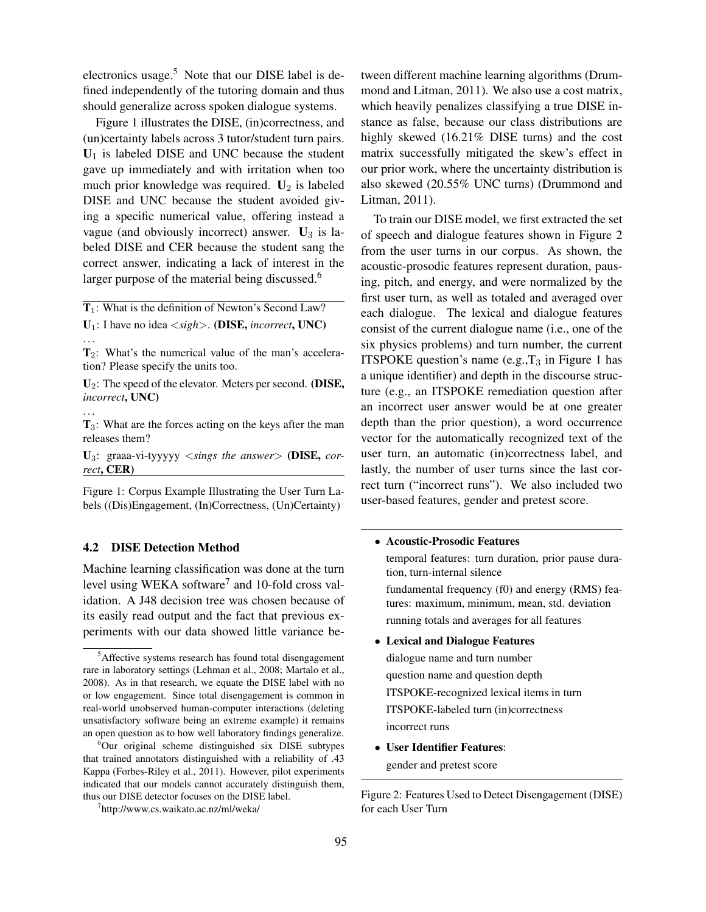electronics usage.<sup>5</sup> Note that our DISE label is defined independently of the tutoring domain and thus should generalize across spoken dialogue systems.

Figure 1 illustrates the DISE, (in)correctness, and (un)certainty labels across 3 tutor/student turn pairs.  $U_1$  is labeled DISE and UNC because the student gave up immediately and with irritation when too much prior knowledge was required. **U**2 is labeled DISE and UNC because the student avoided giving a specific numerical value, offering instead a vague (and obviously incorrect) answer. **U**3 is labeled DISE and CER because the student sang the correct answer, indicating a lack of interest in the larger purpose of the material being discussed.<sup>6</sup>

**T**1: What is the definition of Newton's Second Law? **U**1: I have no idea <*sigh*>. **(DISE,** *incorrect***, UNC)**

**U**2: The speed of the elevator. Meters per second. **(DISE,** *incorrect***, UNC)**

. . . **T**3: What are the forces acting on the keys after the man releases them?

**U**3: graaa-vi-tyyyyy <*sings the answer*> **(DISE,** *correct***, CER)**

Figure 1: Corpus Example Illustrating the User Turn Labels ((Dis)Engagement, (In)Correctness, (Un)Certainty)

#### **4.2 DISE Detection Method**

Machine learning classification was done at the turn level using WEKA software<sup>7</sup> and 10-fold cross validation. A J48 decision tree was chosen because of its easily read output and the fact that previous experiments with our data showed little variance between different machine learning algorithms (Drummond and Litman, 2011). We also use a cost matrix, which heavily penalizes classifying a true DISE instance as false, because our class distributions are highly skewed (16.21% DISE turns) and the cost matrix successfully mitigated the skew's effect in our prior work, where the uncertainty distribution is also skewed (20.55% UNC turns) (Drummond and Litman, 2011).

To train our DISE model, we first extracted the set of speech and dialogue features shown in Figure 2 from the user turns in our corpus. As shown, the acoustic-prosodic features represent duration, pausing, pitch, and energy, and were normalized by the first user turn, as well as totaled and averaged over each dialogue. The lexical and dialogue features consist of the current dialogue name (i.e., one of the six physics problems) and turn number, the current ITSPOKE question's name  $(e.g., T<sub>3</sub>$  in Figure 1 has a unique identifier) and depth in the discourse structure (e.g., an ITSPOKE remediation question after an incorrect user answer would be at one greater depth than the prior question), a word occurrence vector for the automatically recognized text of the user turn, an automatic (in)correctness label, and lastly, the number of user turns since the last correct turn ("incorrect runs"). We also included two user-based features, gender and pretest score.

#### • **Acoustic-Prosodic Features**

temporal features: turn duration, prior pause duration, turn-internal silence fundamental frequency (f0) and energy (RMS) features: maximum, minimum, mean, std. deviation running totals and averages for all features

#### • **Lexical and Dialogue Features**

dialogue name and turn number question name and question depth ITSPOKE-recognized lexical items in turn ITSPOKE-labeled turn (in)correctness incorrect runs

• **User Identifier Features**: gender and pretest score

Figure 2: Features Used to Detect Disengagement (DISE) for each User Turn

<sup>. . .</sup> **T**2: What's the numerical value of the man's acceleration? Please specify the units too.

<sup>5</sup>Affective systems research has found total disengagement rare in laboratory settings (Lehman et al., 2008; Martalo et al., 2008). As in that research, we equate the DISE label with no or low engagement. Since total disengagement is common in real-world unobserved human-computer interactions (deleting unsatisfactory software being an extreme example) it remains an open question as to how well laboratory findings generalize.

<sup>6</sup>Our original scheme distinguished six DISE subtypes that trained annotators distinguished with a reliability of .43 Kappa (Forbes-Riley et al., 2011). However, pilot experiments indicated that our models cannot accurately distinguish them, thus our DISE detector focuses on the DISE label.

<sup>7</sup> http://www.cs.waikato.ac.nz/ml/weka/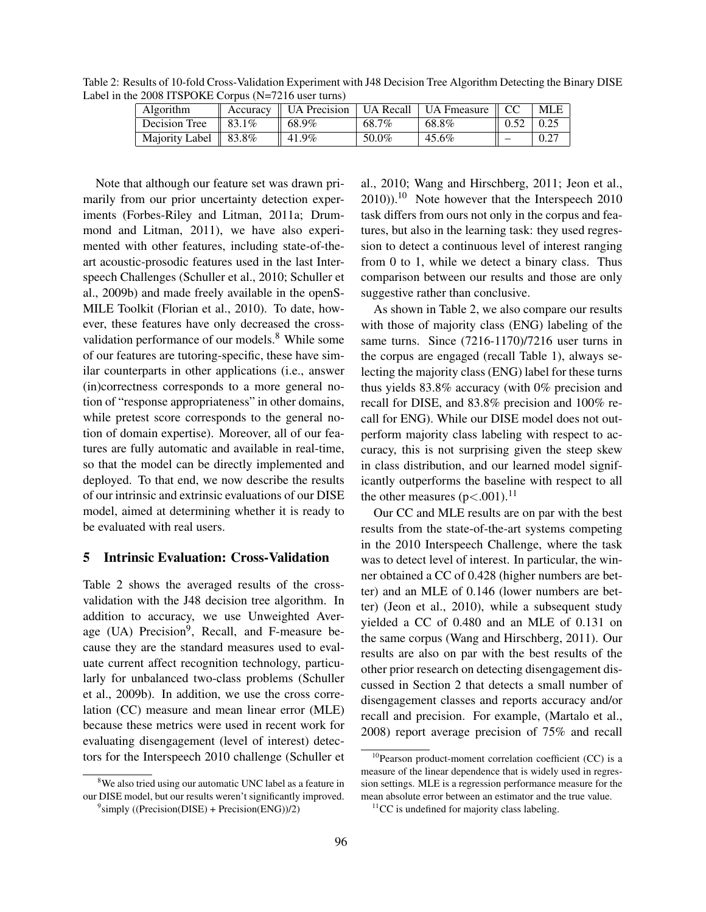Table 2: Results of 10-fold Cross-Validation Experiment with J48 Decision Tree Algorithm Detecting the Binary DISE Label in the 2008 ITSPOKE Corpus (N=7216 user turns)

| Algorithm                        | Accuracy           | <b>UA</b> Precision |       | ∟UA Recall ∣ UA Fmeasure | MLE  |
|----------------------------------|--------------------|---------------------|-------|--------------------------|------|
| Decision Tree                    | $\frac{1}{83.1\%}$ | 68.9%               | 68.7% | 68.8%                    | 0.25 |
| Majority Label $\parallel$ 83.8% |                    | 41.9%               | 50.0% | 45.6%                    | 0.27 |

Note that although our feature set was drawn primarily from our prior uncertainty detection experiments (Forbes-Riley and Litman, 2011a; Drummond and Litman, 2011), we have also experimented with other features, including state-of-theart acoustic-prosodic features used in the last Interspeech Challenges (Schuller et al., 2010; Schuller et al., 2009b) and made freely available in the openS-MILE Toolkit (Florian et al., 2010). To date, however, these features have only decreased the crossvalidation performance of our models.<sup>8</sup> While some of our features are tutoring-specific, these have similar counterparts in other applications (i.e., answer (in)correctness corresponds to a more general notion of "response appropriateness" in other domains, while pretest score corresponds to the general notion of domain expertise). Moreover, all of our features are fully automatic and available in real-time, so that the model can be directly implemented and deployed. To that end, we now describe the results of our intrinsic and extrinsic evaluations of our DISE model, aimed at determining whether it is ready to be evaluated with real users.

### **5 Intrinsic Evaluation: Cross-Validation**

Table 2 shows the averaged results of the crossvalidation with the J48 decision tree algorithm. In addition to accuracy, we use Unweighted Average (UA) Precision<sup>9</sup>, Recall, and F-measure because they are the standard measures used to evaluate current affect recognition technology, particularly for unbalanced two-class problems (Schuller et al., 2009b). In addition, we use the cross correlation (CC) measure and mean linear error (MLE) because these metrics were used in recent work for evaluating disengagement (level of interest) detectors for the Interspeech 2010 challenge (Schuller et

<sup>8</sup>We also tried using our automatic UNC label as a feature in our DISE model, but our results weren't significantly improved.

al., 2010; Wang and Hirschberg, 2011; Jeon et al.,  $2010$ ).<sup>10</sup> Note however that the Interspeech 2010 task differs from ours not only in the corpus and features, but also in the learning task: they used regression to detect a continuous level of interest ranging from 0 to 1, while we detect a binary class. Thus comparison between our results and those are only suggestive rather than conclusive.

As shown in Table 2, we also compare our results with those of majority class (ENG) labeling of the same turns. Since (7216-1170)/7216 user turns in the corpus are engaged (recall Table 1), always selecting the majority class (ENG) label for these turns thus yields 83.8% accuracy (with 0% precision and recall for DISE, and 83.8% precision and 100% recall for ENG). While our DISE model does not outperform majority class labeling with respect to accuracy, this is not surprising given the steep skew in class distribution, and our learned model significantly outperforms the baseline with respect to all the other measures  $(p<.001)$ .<sup>11</sup>

Our CC and MLE results are on par with the best results from the state-of-the-art systems competing in the 2010 Interspeech Challenge, where the task was to detect level of interest. In particular, the winner obtained a CC of 0.428 (higher numbers are better) and an MLE of 0.146 (lower numbers are better) (Jeon et al., 2010), while a subsequent study yielded a CC of 0.480 and an MLE of 0.131 on the same corpus (Wang and Hirschberg, 2011). Our results are also on par with the best results of the other prior research on detecting disengagement discussed in Section 2 that detects a small number of disengagement classes and reports accuracy and/or recall and precision. For example, (Martalo et al., 2008) report average precision of 75% and recall

 $9$ simply ((Precision(DISE) + Precision(ENG))/2)

 $10$ Pearson product-moment correlation coefficient (CC) is a measure of the linear dependence that is widely used in regression settings. MLE is a regression performance measure for the mean absolute error between an estimator and the true value.

 $11$ CC is undefined for majority class labeling.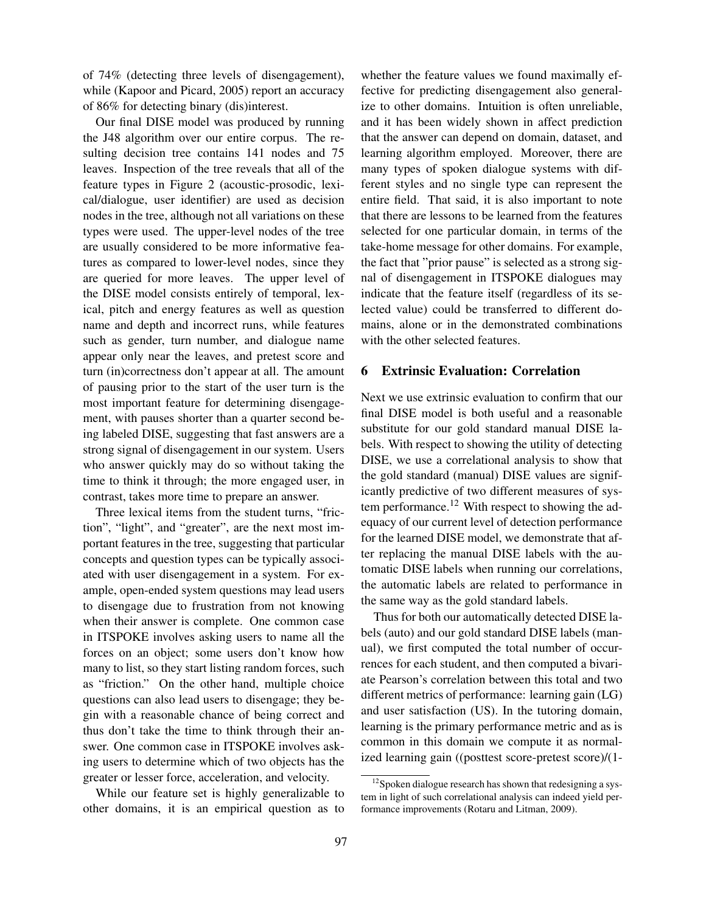of 74% (detecting three levels of disengagement), while (Kapoor and Picard, 2005) report an accuracy of 86% for detecting binary (dis)interest.

Our final DISE model was produced by running the J48 algorithm over our entire corpus. The resulting decision tree contains 141 nodes and 75 leaves. Inspection of the tree reveals that all of the feature types in Figure 2 (acoustic-prosodic, lexical/dialogue, user identifier) are used as decision nodes in the tree, although not all variations on these types were used. The upper-level nodes of the tree are usually considered to be more informative features as compared to lower-level nodes, since they are queried for more leaves. The upper level of the DISE model consists entirely of temporal, lexical, pitch and energy features as well as question name and depth and incorrect runs, while features such as gender, turn number, and dialogue name appear only near the leaves, and pretest score and turn (in)correctness don't appear at all. The amount of pausing prior to the start of the user turn is the most important feature for determining disengagement, with pauses shorter than a quarter second being labeled DISE, suggesting that fast answers are a strong signal of disengagement in our system. Users who answer quickly may do so without taking the time to think it through; the more engaged user, in contrast, takes more time to prepare an answer.

Three lexical items from the student turns, "friction", "light", and "greater", are the next most important features in the tree, suggesting that particular concepts and question types can be typically associated with user disengagement in a system. For example, open-ended system questions may lead users to disengage due to frustration from not knowing when their answer is complete. One common case in ITSPOKE involves asking users to name all the forces on an object; some users don't know how many to list, so they start listing random forces, such as "friction." On the other hand, multiple choice questions can also lead users to disengage; they begin with a reasonable chance of being correct and thus don't take the time to think through their answer. One common case in ITSPOKE involves asking users to determine which of two objects has the greater or lesser force, acceleration, and velocity.

While our feature set is highly generalizable to other domains, it is an empirical question as to whether the feature values we found maximally effective for predicting disengagement also generalize to other domains. Intuition is often unreliable, and it has been widely shown in affect prediction that the answer can depend on domain, dataset, and learning algorithm employed. Moreover, there are many types of spoken dialogue systems with different styles and no single type can represent the entire field. That said, it is also important to note that there are lessons to be learned from the features selected for one particular domain, in terms of the take-home message for other domains. For example, the fact that "prior pause" is selected as a strong signal of disengagement in ITSPOKE dialogues may indicate that the feature itself (regardless of its selected value) could be transferred to different domains, alone or in the demonstrated combinations with the other selected features.

#### **6 Extrinsic Evaluation: Correlation**

Next we use extrinsic evaluation to confirm that our final DISE model is both useful and a reasonable substitute for our gold standard manual DISE labels. With respect to showing the utility of detecting DISE, we use a correlational analysis to show that the gold standard (manual) DISE values are significantly predictive of two different measures of system performance.<sup>12</sup> With respect to showing the adequacy of our current level of detection performance for the learned DISE model, we demonstrate that after replacing the manual DISE labels with the automatic DISE labels when running our correlations, the automatic labels are related to performance in the same way as the gold standard labels.

Thus for both our automatically detected DISE labels (auto) and our gold standard DISE labels (manual), we first computed the total number of occurrences for each student, and then computed a bivariate Pearson's correlation between this total and two different metrics of performance: learning gain (LG) and user satisfaction (US). In the tutoring domain, learning is the primary performance metric and as is common in this domain we compute it as normalized learning gain ((posttest score-pretest score)/(1-

 $12$ Spoken dialogue research has shown that redesigning a system in light of such correlational analysis can indeed yield performance improvements (Rotaru and Litman, 2009).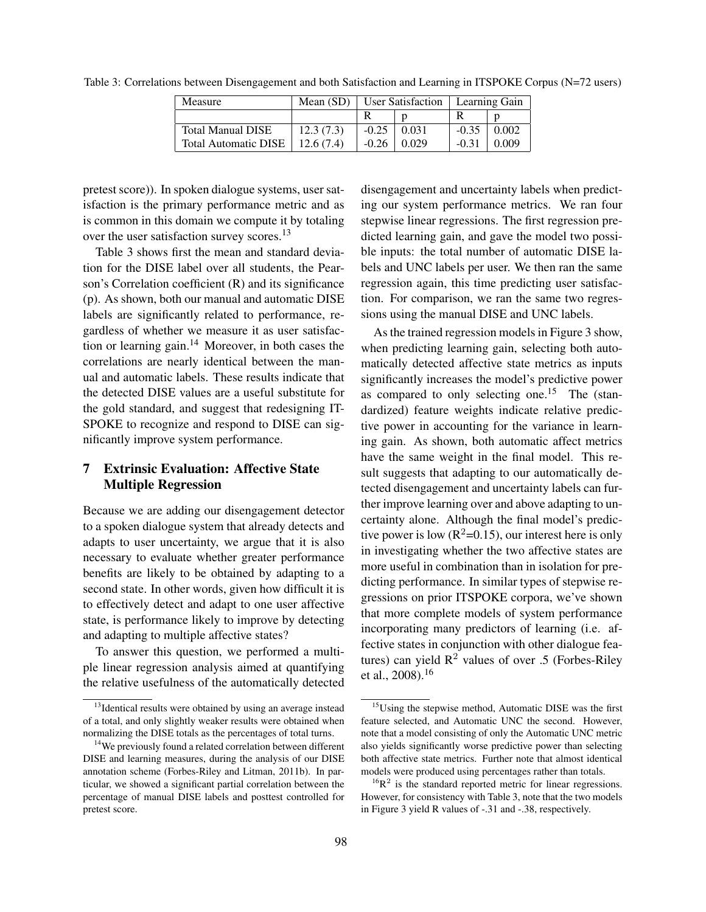| Measure                     | Mean $(SD)$ | User Satisfaction |       | Learning Gain |       |
|-----------------------------|-------------|-------------------|-------|---------------|-------|
|                             |             |                   |       |               |       |
| Total Manual DISE           | 12.3(7.3)   | $-0.25$           | 0.031 | $-0.35$       | 0.002 |
| <b>Total Automatic DISE</b> | 12.6(7.4)   | $-0.26$           | 0.029 | $-0.31$       | 0.009 |

Table 3: Correlations between Disengagement and both Satisfaction and Learning in ITSPOKE Corpus (N=72 users)

pretest score)). In spoken dialogue systems, user satisfaction is the primary performance metric and as is common in this domain we compute it by totaling over the user satisfaction survey scores.<sup>13</sup>

Table 3 shows first the mean and standard deviation for the DISE label over all students, the Pearson's Correlation coefficient (R) and its significance (p). As shown, both our manual and automatic DISE labels are significantly related to performance, regardless of whether we measure it as user satisfaction or learning gain.<sup>14</sup> Moreover, in both cases the correlations are nearly identical between the manual and automatic labels. These results indicate that the detected DISE values are a useful substitute for the gold standard, and suggest that redesigning IT-SPOKE to recognize and respond to DISE can significantly improve system performance.

## **7 Extrinsic Evaluation: Affective State Multiple Regression**

Because we are adding our disengagement detector to a spoken dialogue system that already detects and adapts to user uncertainty, we argue that it is also necessary to evaluate whether greater performance benefits are likely to be obtained by adapting to a second state. In other words, given how difficult it is to effectively detect and adapt to one user affective state, is performance likely to improve by detecting and adapting to multiple affective states?

To answer this question, we performed a multiple linear regression analysis aimed at quantifying the relative usefulness of the automatically detected

disengagement and uncertainty labels when predicting our system performance metrics. We ran four stepwise linear regressions. The first regression predicted learning gain, and gave the model two possible inputs: the total number of automatic DISE labels and UNC labels per user. We then ran the same regression again, this time predicting user satisfaction. For comparison, we ran the same two regressions using the manual DISE and UNC labels.

As the trained regression models in Figure 3 show, when predicting learning gain, selecting both automatically detected affective state metrics as inputs significantly increases the model's predictive power as compared to only selecting one.<sup>15</sup> The (standardized) feature weights indicate relative predictive power in accounting for the variance in learning gain. As shown, both automatic affect metrics have the same weight in the final model. This result suggests that adapting to our automatically detected disengagement and uncertainty labels can further improve learning over and above adapting to uncertainty alone. Although the final model's predictive power is low ( $\mathbb{R}^2$ =0.15), our interest here is only in investigating whether the two affective states are more useful in combination than in isolation for predicting performance. In similar types of stepwise regressions on prior ITSPOKE corpora, we've shown that more complete models of system performance incorporating many predictors of learning (i.e. affective states in conjunction with other dialogue features) can yield  $\mathbb{R}^2$  values of over .5 (Forbes-Riley et al.,  $2008$ ).<sup>16</sup>

<sup>&</sup>lt;sup>13</sup>Identical results were obtained by using an average instead of a total, and only slightly weaker results were obtained when normalizing the DISE totals as the percentages of total turns.

<sup>&</sup>lt;sup>14</sup>We previously found a related correlation between different DISE and learning measures, during the analysis of our DISE annotation scheme (Forbes-Riley and Litman, 2011b). In particular, we showed a significant partial correlation between the percentage of manual DISE labels and posttest controlled for pretest score.

<sup>&</sup>lt;sup>15</sup>Using the stepwise method, Automatic DISE was the first feature selected, and Automatic UNC the second. However, note that a model consisting of only the Automatic UNC metric also yields significantly worse predictive power than selecting both affective state metrics. Further note that almost identical models were produced using percentages rather than totals.

 $^{16}R^2$  is the standard reported metric for linear regressions. However, for consistency with Table 3, note that the two models in Figure 3 yield R values of -.31 and -.38, respectively.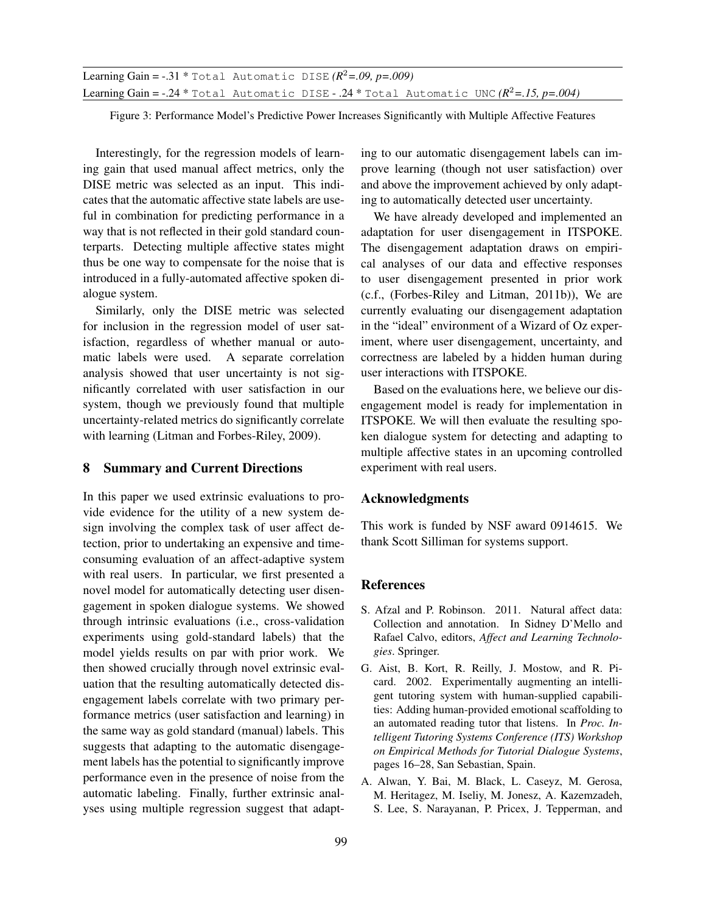**Learning Gain = -.31** \* Total Automatic DISE  $(R^2 = .09, p = .009)$ Learning Gain =  $-0.24$  \* Total Automatic DISE  $-0.24$  \* Total Automatic UNC  $(R^2=0.15, p=.004)$ 

Figure 3: Performance Model's Predictive Power Increases Significantly with Multiple Affective Features

Interestingly, for the regression models of learning gain that used manual affect metrics, only the DISE metric was selected as an input. This indicates that the automatic affective state labels are useful in combination for predicting performance in a way that is not reflected in their gold standard counterparts. Detecting multiple affective states might thus be one way to compensate for the noise that is introduced in a fully-automated affective spoken dialogue system.

Similarly, only the DISE metric was selected for inclusion in the regression model of user satisfaction, regardless of whether manual or automatic labels were used. A separate correlation analysis showed that user uncertainty is not significantly correlated with user satisfaction in our system, though we previously found that multiple uncertainty-related metrics do significantly correlate with learning (Litman and Forbes-Riley, 2009).

#### **8 Summary and Current Directions**

In this paper we used extrinsic evaluations to provide evidence for the utility of a new system design involving the complex task of user affect detection, prior to undertaking an expensive and timeconsuming evaluation of an affect-adaptive system with real users. In particular, we first presented a novel model for automatically detecting user disengagement in spoken dialogue systems. We showed through intrinsic evaluations (i.e., cross-validation experiments using gold-standard labels) that the model yields results on par with prior work. We then showed crucially through novel extrinsic evaluation that the resulting automatically detected disengagement labels correlate with two primary performance metrics (user satisfaction and learning) in the same way as gold standard (manual) labels. This suggests that adapting to the automatic disengagement labels has the potential to significantly improve performance even in the presence of noise from the automatic labeling. Finally, further extrinsic analyses using multiple regression suggest that adapting to our automatic disengagement labels can improve learning (though not user satisfaction) over and above the improvement achieved by only adapting to automatically detected user uncertainty.

We have already developed and implemented an adaptation for user disengagement in ITSPOKE. The disengagement adaptation draws on empirical analyses of our data and effective responses to user disengagement presented in prior work (c.f., (Forbes-Riley and Litman, 2011b)), We are currently evaluating our disengagement adaptation in the "ideal" environment of a Wizard of Oz experiment, where user disengagement, uncertainty, and correctness are labeled by a hidden human during user interactions with ITSPOKE.

Based on the evaluations here, we believe our disengagement model is ready for implementation in ITSPOKE. We will then evaluate the resulting spoken dialogue system for detecting and adapting to multiple affective states in an upcoming controlled experiment with real users.

#### **Acknowledgments**

This work is funded by NSF award 0914615. We thank Scott Silliman for systems support.

#### **References**

- S. Afzal and P. Robinson. 2011. Natural affect data: Collection and annotation. In Sidney D'Mello and Rafael Calvo, editors, *Affect and Learning Technologies*. Springer.
- G. Aist, B. Kort, R. Reilly, J. Mostow, and R. Picard. 2002. Experimentally augmenting an intelligent tutoring system with human-supplied capabilities: Adding human-provided emotional scaffolding to an automated reading tutor that listens. In *Proc. Intelligent Tutoring Systems Conference (ITS) Workshop on Empirical Methods for Tutorial Dialogue Systems*, pages 16–28, San Sebastian, Spain.
- A. Alwan, Y. Bai, M. Black, L. Caseyz, M. Gerosa, M. Heritagez, M. Iseliy, M. Jonesz, A. Kazemzadeh, S. Lee, S. Narayanan, P. Pricex, J. Tepperman, and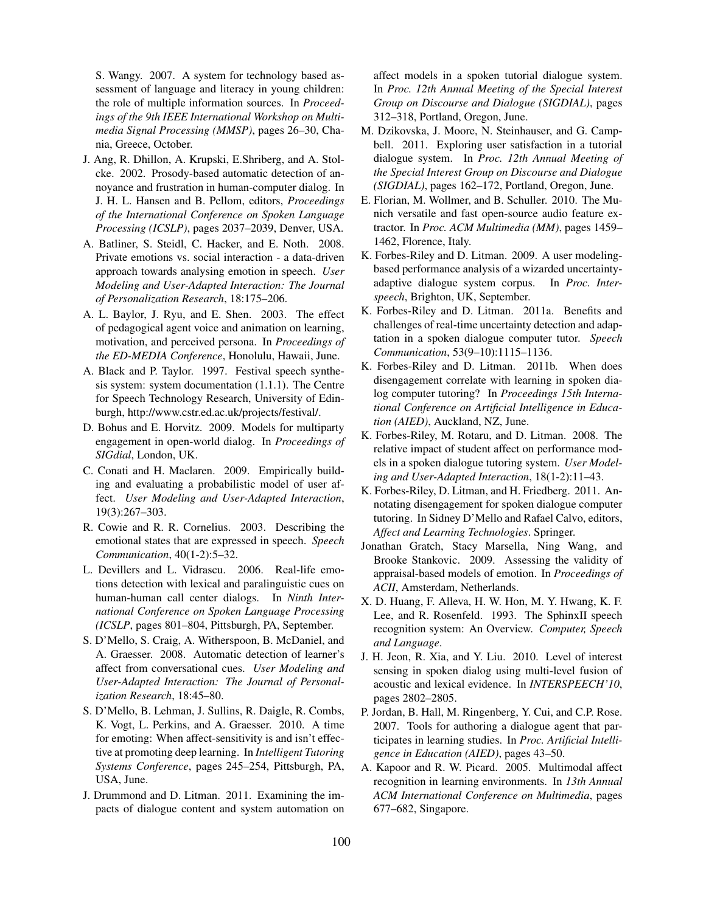S. Wangy. 2007. A system for technology based assessment of language and literacy in young children: the role of multiple information sources. In *Proceedings of the 9th IEEE International Workshop on Multimedia Signal Processing (MMSP)*, pages 26–30, Chania, Greece, October.

- J. Ang, R. Dhillon, A. Krupski, E.Shriberg, and A. Stolcke. 2002. Prosody-based automatic detection of annoyance and frustration in human-computer dialog. In J. H. L. Hansen and B. Pellom, editors, *Proceedings of the International Conference on Spoken Language Processing (ICSLP)*, pages 2037–2039, Denver, USA.
- A. Batliner, S. Steidl, C. Hacker, and E. Noth. 2008. Private emotions vs. social interaction - a data-driven approach towards analysing emotion in speech. *User Modeling and User-Adapted Interaction: The Journal of Personalization Research*, 18:175–206.
- A. L. Baylor, J. Ryu, and E. Shen. 2003. The effect of pedagogical agent voice and animation on learning, motivation, and perceived persona. In *Proceedings of the ED-MEDIA Conference*, Honolulu, Hawaii, June.
- A. Black and P. Taylor. 1997. Festival speech synthesis system: system documentation (1.1.1). The Centre for Speech Technology Research, University of Edinburgh, http://www.cstr.ed.ac.uk/projects/festival/.
- D. Bohus and E. Horvitz. 2009. Models for multiparty engagement in open-world dialog. In *Proceedings of SIGdial*, London, UK.
- C. Conati and H. Maclaren. 2009. Empirically building and evaluating a probabilistic model of user affect. *User Modeling and User-Adapted Interaction*, 19(3):267–303.
- R. Cowie and R. R. Cornelius. 2003. Describing the emotional states that are expressed in speech. *Speech Communication*, 40(1-2):5–32.
- L. Devillers and L. Vidrascu. 2006. Real-life emotions detection with lexical and paralinguistic cues on human-human call center dialogs. In *Ninth International Conference on Spoken Language Processing (ICSLP*, pages 801–804, Pittsburgh, PA, September.
- S. D'Mello, S. Craig, A. Witherspoon, B. McDaniel, and A. Graesser. 2008. Automatic detection of learner's affect from conversational cues. *User Modeling and User-Adapted Interaction: The Journal of Personalization Research*, 18:45–80.
- S. D'Mello, B. Lehman, J. Sullins, R. Daigle, R. Combs, K. Vogt, L. Perkins, and A. Graesser. 2010. A time for emoting: When affect-sensitivity is and isn't effective at promoting deep learning. In *Intelligent Tutoring Systems Conference*, pages 245–254, Pittsburgh, PA, USA, June.
- J. Drummond and D. Litman. 2011. Examining the impacts of dialogue content and system automation on

affect models in a spoken tutorial dialogue system. In *Proc. 12th Annual Meeting of the Special Interest Group on Discourse and Dialogue (SIGDIAL)*, pages 312–318, Portland, Oregon, June.

- M. Dzikovska, J. Moore, N. Steinhauser, and G. Campbell. 2011. Exploring user satisfaction in a tutorial dialogue system. In *Proc. 12th Annual Meeting of the Special Interest Group on Discourse and Dialogue (SIGDIAL)*, pages 162–172, Portland, Oregon, June.
- E. Florian, M. Wollmer, and B. Schuller. 2010. The Munich versatile and fast open-source audio feature extractor. In *Proc. ACM Multimedia (MM)*, pages 1459– 1462, Florence, Italy.
- K. Forbes-Riley and D. Litman. 2009. A user modelingbased performance analysis of a wizarded uncertaintyadaptive dialogue system corpus. In *Proc. Interspeech*, Brighton, UK, September.
- K. Forbes-Riley and D. Litman. 2011a. Benefits and challenges of real-time uncertainty detection and adaptation in a spoken dialogue computer tutor. *Speech Communication*, 53(9–10):1115–1136.
- K. Forbes-Riley and D. Litman. 2011b. When does disengagement correlate with learning in spoken dialog computer tutoring? In *Proceedings 15th International Conference on Artificial Intelligence in Education (AIED)*, Auckland, NZ, June.
- K. Forbes-Riley, M. Rotaru, and D. Litman. 2008. The relative impact of student affect on performance models in a spoken dialogue tutoring system. *User Modeling and User-Adapted Interaction*, 18(1-2):11–43.
- K. Forbes-Riley, D. Litman, and H. Friedberg. 2011. Annotating disengagement for spoken dialogue computer tutoring. In Sidney D'Mello and Rafael Calvo, editors, *Affect and Learning Technologies*. Springer.
- Jonathan Gratch, Stacy Marsella, Ning Wang, and Brooke Stankovic. 2009. Assessing the validity of appraisal-based models of emotion. In *Proceedings of ACII*, Amsterdam, Netherlands.
- X. D. Huang, F. Alleva, H. W. Hon, M. Y. Hwang, K. F. Lee, and R. Rosenfeld. 1993. The SphinxII speech recognition system: An Overview. *Computer, Speech and Language*.
- J. H. Jeon, R. Xia, and Y. Liu. 2010. Level of interest sensing in spoken dialog using multi-level fusion of acoustic and lexical evidence. In *INTERSPEECH'10*, pages 2802–2805.
- P. Jordan, B. Hall, M. Ringenberg, Y. Cui, and C.P. Rose. 2007. Tools for authoring a dialogue agent that participates in learning studies. In *Proc. Artificial Intelligence in Education (AIED)*, pages 43–50.
- A. Kapoor and R. W. Picard. 2005. Multimodal affect recognition in learning environments. In *13th Annual ACM International Conference on Multimedia*, pages 677–682, Singapore.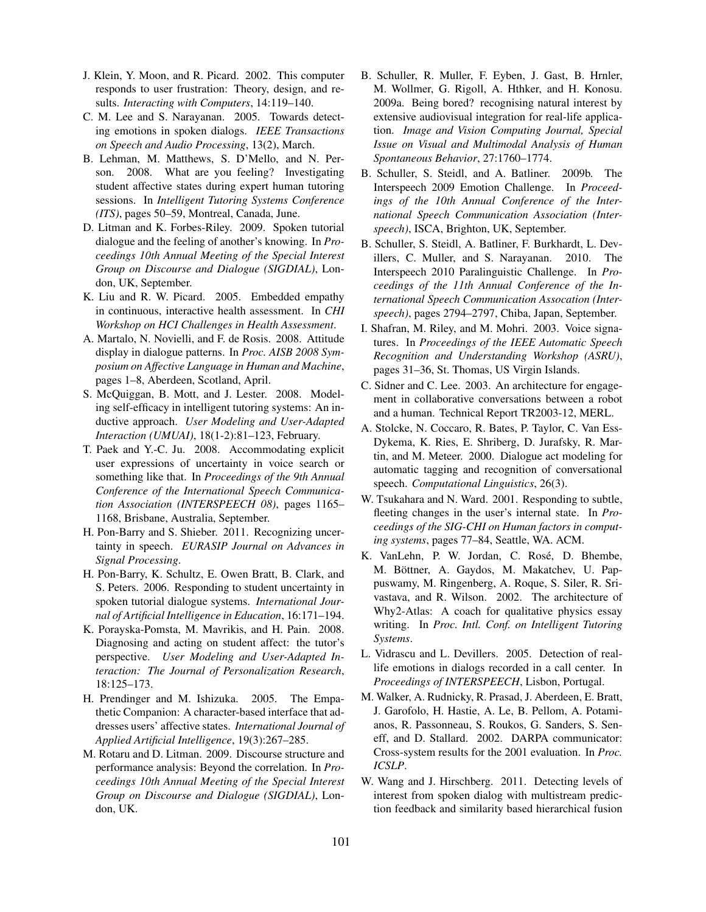- J. Klein, Y. Moon, and R. Picard. 2002. This computer responds to user frustration: Theory, design, and results. *Interacting with Computers*, 14:119–140.
- C. M. Lee and S. Narayanan. 2005. Towards detecting emotions in spoken dialogs. *IEEE Transactions on Speech and Audio Processing*, 13(2), March.
- B. Lehman, M. Matthews, S. D'Mello, and N. Person. 2008. What are you feeling? Investigating student affective states during expert human tutoring sessions. In *Intelligent Tutoring Systems Conference (ITS)*, pages 50–59, Montreal, Canada, June.
- D. Litman and K. Forbes-Riley. 2009. Spoken tutorial dialogue and the feeling of another's knowing. In *Proceedings 10th Annual Meeting of the Special Interest Group on Discourse and Dialogue (SIGDIAL)*, London, UK, September.
- K. Liu and R. W. Picard. 2005. Embedded empathy in continuous, interactive health assessment. In *CHI Workshop on HCI Challenges in Health Assessment*.
- A. Martalo, N. Novielli, and F. de Rosis. 2008. Attitude display in dialogue patterns. In *Proc. AISB 2008 Symposium on Affective Language in Human and Machine*, pages 1–8, Aberdeen, Scotland, April.
- S. McQuiggan, B. Mott, and J. Lester. 2008. Modeling self-efficacy in intelligent tutoring systems: An inductive approach. *User Modeling and User-Adapted Interaction (UMUAI)*, 18(1-2):81–123, February.
- T. Paek and Y.-C. Ju. 2008. Accommodating explicit user expressions of uncertainty in voice search or something like that. In *Proceedings of the 9th Annual Conference of the International Speech Communication Association (INTERSPEECH 08)*, pages 1165– 1168, Brisbane, Australia, September.
- H. Pon-Barry and S. Shieber. 2011. Recognizing uncertainty in speech. *EURASIP Journal on Advances in Signal Processing*.
- H. Pon-Barry, K. Schultz, E. Owen Bratt, B. Clark, and S. Peters. 2006. Responding to student uncertainty in spoken tutorial dialogue systems. *International Journal of Artificial Intelligence in Education*, 16:171–194.
- K. Porayska-Pomsta, M. Mavrikis, and H. Pain. 2008. Diagnosing and acting on student affect: the tutor's perspective. *User Modeling and User-Adapted Interaction: The Journal of Personalization Research*, 18:125–173.
- H. Prendinger and M. Ishizuka. 2005. The Empathetic Companion: A character-based interface that addresses users' affective states. *International Journal of Applied Artificial Intelligence*, 19(3):267–285.
- M. Rotaru and D. Litman. 2009. Discourse structure and performance analysis: Beyond the correlation. In *Proceedings 10th Annual Meeting of the Special Interest Group on Discourse and Dialogue (SIGDIAL)*, London, UK.
- B. Schuller, R. Muller, F. Eyben, J. Gast, B. Hrnler, M. Wollmer, G. Rigoll, A. Hthker, and H. Konosu. 2009a. Being bored? recognising natural interest by extensive audiovisual integration for real-life application. *Image and Vision Computing Journal, Special Issue on Visual and Multimodal Analysis of Human Spontaneous Behavior*, 27:1760–1774.
- B. Schuller, S. Steidl, and A. Batliner. 2009b. The Interspeech 2009 Emotion Challenge. In *Proceedings of the 10th Annual Conference of the International Speech Communication Association (Interspeech)*, ISCA, Brighton, UK, September.
- B. Schuller, S. Steidl, A. Batliner, F. Burkhardt, L. Devillers, C. Muller, and S. Narayanan. 2010. The Interspeech 2010 Paralinguistic Challenge. In *Proceedings of the 11th Annual Conference of the International Speech Communication Assocation (Interspeech)*, pages 2794–2797, Chiba, Japan, September.
- I. Shafran, M. Riley, and M. Mohri. 2003. Voice signatures. In *Proceedings of the IEEE Automatic Speech Recognition and Understanding Workshop (ASRU)*, pages 31–36, St. Thomas, US Virgin Islands.
- C. Sidner and C. Lee. 2003. An architecture for engagement in collaborative conversations between a robot and a human. Technical Report TR2003-12, MERL.
- A. Stolcke, N. Coccaro, R. Bates, P. Taylor, C. Van Ess-Dykema, K. Ries, E. Shriberg, D. Jurafsky, R. Martin, and M. Meteer. 2000. Dialogue act modeling for automatic tagging and recognition of conversational speech. *Computational Linguistics*, 26(3).
- W. Tsukahara and N. Ward. 2001. Responding to subtle, fleeting changes in the user's internal state. In *Proceedings of the SIG-CHI on Human factors in computing systems*, pages 77–84, Seattle, WA. ACM.
- K. VanLehn, P. W. Jordan, C. Rosé, D. Bhembe, M. Böttner, A. Gaydos, M. Makatchev, U. Pappuswamy, M. Ringenberg, A. Roque, S. Siler, R. Srivastava, and R. Wilson. 2002. The architecture of Why2-Atlas: A coach for qualitative physics essay writing. In *Proc. Intl. Conf. on Intelligent Tutoring Systems*.
- L. Vidrascu and L. Devillers. 2005. Detection of reallife emotions in dialogs recorded in a call center. In *Proceedings of INTERSPEECH*, Lisbon, Portugal.
- M. Walker, A. Rudnicky, R. Prasad, J. Aberdeen, E. Bratt, J. Garofolo, H. Hastie, A. Le, B. Pellom, A. Potamianos, R. Passonneau, S. Roukos, G. Sanders, S. Seneff, and D. Stallard. 2002. DARPA communicator: Cross-system results for the 2001 evaluation. In *Proc. ICSLP*.
- W. Wang and J. Hirschberg. 2011. Detecting levels of interest from spoken dialog with multistream prediction feedback and similarity based hierarchical fusion